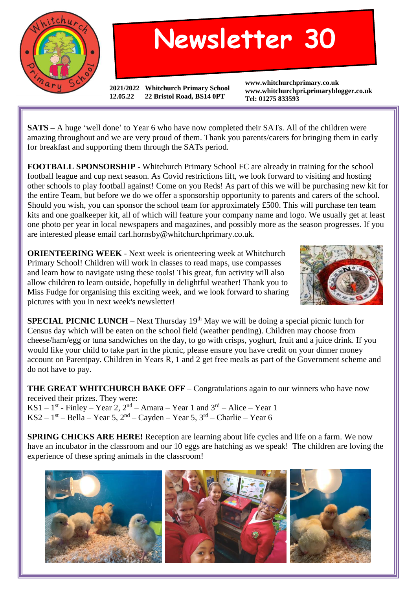

## **Newsletter 30**

**2021/2022 Whitchurch Primary School 12.05.22 22 Bristol Road, BS14 0PT**

**www.whitchurchprimary.co.uk www.whitchurchpri.primaryblogger.co.uk Tel: 01275 833593**

**SATS –** A huge 'well done' to Year 6 who have now completed their SATs. All of the children were amazing throughout and we are very proud of them. Thank you parents/carers for bringing them in early for breakfast and supporting them through the SATs period.

**FOOTBALL SPONSORSHIP -** Whitchurch Primary School FC are already in training for the school football league and cup next season. As Covid restrictions lift, we look forward to visiting and hosting other schools to play football against! Come on you Reds! As part of this we will be purchasing new kit for the entire Team, but before we do we offer a sponsorship opportunity to parents and carers of the school. Should you wish, you can sponsor the school team for approximately £500. This will purchase ten team kits and one goalkeeper kit, all of which will feature your company name and logo. We usually get at least one photo per year in local newspapers and magazines, and possibly more as the season progresses. If you are interested please email carl.hornsby@whitchurchprimary.co.uk.

**ORIENTEERING WEEK** - Next week is orienteering week at Whitchurch Primary School! Children will work in classes to read maps, use compasses and learn how to navigate using these tools! This great, fun activity will also allow children to learn outside, hopefully in delightful weather! Thank you to Miss Fudge for organising this exciting week, and we look forward to sharing pictures with you in next week's newsletter!



**SPECIAL PICNIC LUNCH** – Next Thursday  $19<sup>th</sup>$  May we will be doing a special picnic lunch for Census day which will be eaten on the school field (weather pending). Children may choose from cheese/ham/egg or tuna sandwiches on the day, to go with crisps, yoghurt, fruit and a juice drink. If you would like your child to take part in the picnic, please ensure you have credit on your dinner money account on Parentpay. Children in Years R, 1 and 2 get free meals as part of the Government scheme and do not have to pay.

**THE GREAT WHITCHURCH BAKE OFF** – Congratulations again to our winners who have now received their prizes. They were:

KS1 – 1<sup>st</sup> - Finley – Year 2, 2<sup>nd</sup> – Amara – Year 1 and  $3^{rd}$  – Alice – Year 1 KS2 –  $1<sup>st</sup>$  – Bella – Year 5,  $2<sup>nd</sup>$  – Cayden – Year 5,  $3<sup>rd</sup>$  – Charlie – Year 6

**SPRING CHICKS ARE HERE!** Reception are learning about life cycles and life on a farm. We now have an incubator in the classroom and our 10 eggs are hatching as we speak! The children are loving the experience of these spring animals in the classroom!